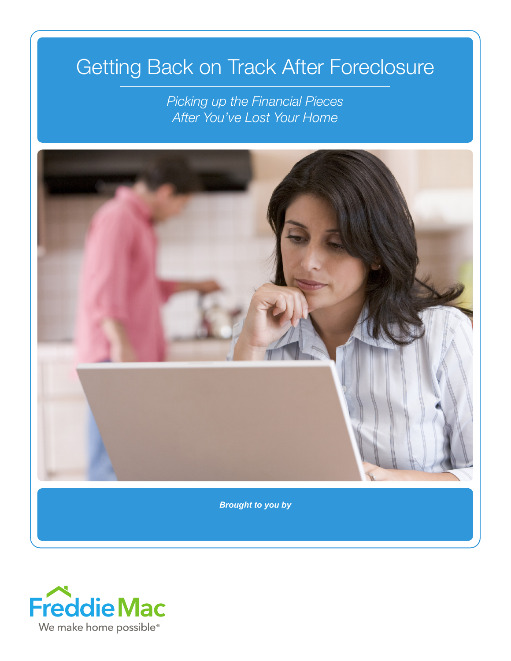# Getting Back on Track After Foreclosure

*Picking up the Financial Pieces After You've Lost Your Home*



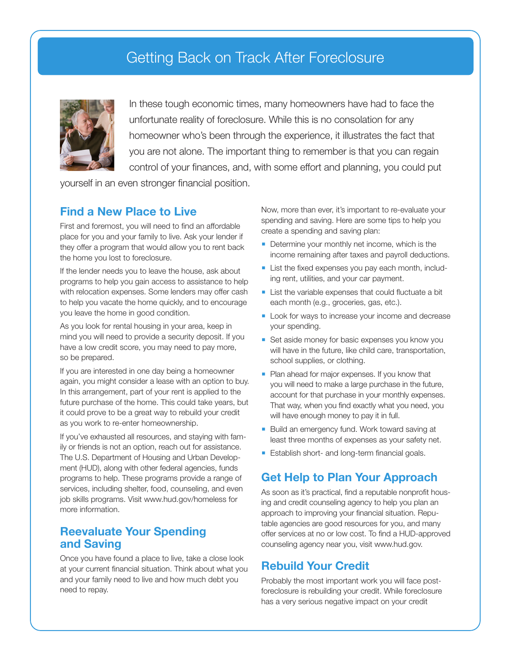## Getting Back on Track After Foreclosure



In these tough economic times, many homeowners have had to face the unfortunate reality of foreclosure. While this is no consolation for any homeowner who's been through the experience, it illustrates the fact that you are not alone. The important thing to remember is that you can regain control of your finances, and, with some effort and planning, you could put

yourself in an even stronger financial position.

#### **Find a New Place to Live**

First and foremost, you will need to find an affordable place for you and your family to live. Ask your lender if they offer a program that would allow you to rent back the home you lost to foreclosure.

If the lender needs you to leave the house, ask about programs to help you gain access to assistance to help with relocation expenses. Some lenders may offer cash to help you vacate the home quickly, and to encourage you leave the home in good condition.

As you look for rental housing in your area, keep in mind you will need to provide a security deposit. If you have a low credit score, you may need to pay more, so be prepared.

If you are interested in one day being a homeowner again, you might consider a lease with an option to buy. In this arrangement, part of your rent is applied to the future purchase of the home. This could take years, but it could prove to be a great way to rebuild your credit as you work to re-enter homeownership.

If you've exhausted all resources, and staying with family or friends is not an option, reach out for assistance. The U.S. Department of Housing and Urban Development (HUD), along with other federal agencies, funds programs to help. These programs provide a range of services, including shelter, food, counseling, and even job skills programs. Visit www.hud.gov/homeless for more information.

#### **Reevaluate Your Spending and Saving**

Once you have found a place to live, take a close look at your current financial situation. Think about what you and your family need to live and how much debt you need to repay.

Now, more than ever, it's important to re-evaluate your spending and saving. Here are some tips to help you create a spending and saving plan:

- Determine your monthly net income, which is the income remaining after taxes and payroll deductions.
- List the fixed expenses you pay each month, including rent, utilities, and your car payment.
- **List the variable expenses that could fluctuate a bit** each month (e.g., groceries, gas, etc.).
- Look for ways to increase your income and decrease your spending.
- Set aside money for basic expenses you know you will have in the future, like child care, transportation, school supplies, or clothing.
- **Plan ahead for major expenses. If you know that** you will need to make a large purchase in the future, account for that purchase in your monthly expenses. That way, when you find exactly what you need, you will have enough money to pay it in full.
- Build an emergency fund. Work toward saving at least three months of expenses as your safety net.
- **Establish short- and long-term financial goals.**

### **Get Help to Plan Your Approach**

As soon as it's practical, find a reputable nonprofit housing and credit counseling agency to help you plan an approach to improving your financial situation. Reputable agencies are good resources for you, and many offer services at no or low cost. To find a HUD-approved counseling agency near you, visit www.hud.gov.

#### **Rebuild Your Credit**

Probably the most important work you will face postforeclosure is rebuilding your credit. While foreclosure has a very serious negative impact on your credit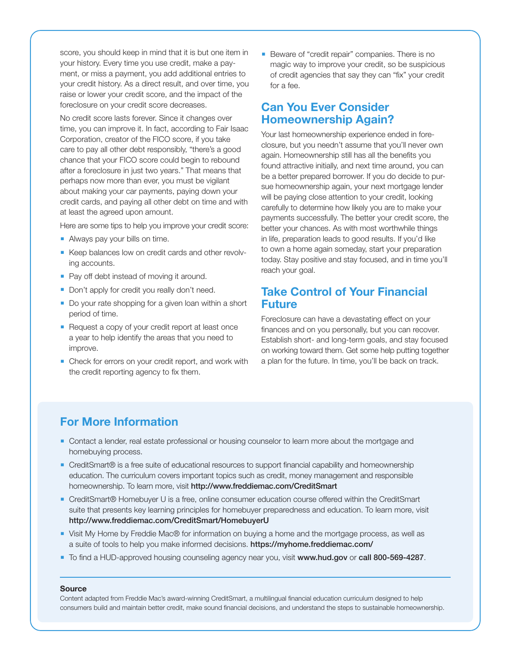score, you should keep in mind that it is but one item in your history. Every time you use credit, make a payment, or miss a payment, you add additional entries to your credit history. As a direct result, and over time, you raise or lower your credit score, and the impact of the foreclosure on your credit score decreases.

No credit score lasts forever. Since it changes over time, you can improve it. In fact, according to Fair Isaac Corporation, creator of the FICO score, if you take care to pay all other debt responsibly, "there's a good chance that your FICO score could begin to rebound after a foreclosure in just two years." That means that perhaps now more than ever, you must be vigilant about making your car payments, paying down your credit cards, and paying all other debt on time and with at least the agreed upon amount.

Here are some tips to help you improve your credit score:

- Always pay your bills on time.
- Keep balances low on credit cards and other revolving accounts.
- Pay off debt instead of moving it around.
- Don't apply for credit you really don't need.
- Do your rate shopping for a given loan within a short period of time.
- Request a copy of your credit report at least once a year to help identify the areas that you need to improve.
- Check for errors on your credit report, and work with the credit reporting agency to fix them.

Beware of "credit repair" companies. There is no magic way to improve your credit, so be suspicious of credit agencies that say they can "fix" your credit for a fee.

#### **Can You Ever Consider Homeownership Again?**

Your last homeownership experience ended in foreclosure, but you needn't assume that you'll never own again. Homeownership still has all the benefits you found attractive initially, and next time around, you can be a better prepared borrower. If you do decide to pursue homeownership again, your next mortgage lender will be paying close attention to your credit, looking carefully to determine how likely you are to make your payments successfully. The better your credit score, the better your chances. As with most worthwhile things in life, preparation leads to good results. If you'd like to own a home again someday, start your preparation today. Stay positive and stay focused, and in time you'll reach your goal.

#### **Take Control of Your Financial Future**

Foreclosure can have a devastating effect on your finances and on you personally, but you can recover. Establish short- and long-term goals, and stay focused on working toward them. Get some help putting together a plan for the future. In time, you'll be back on track.

#### **For More Information**

- **Contact a lender, real estate professional or housing counselor to learn more about the mortgage and** homebuying process.
- CreditSmart® is a free suite of educational resources to support financial capability and homeownership education. The curriculum covers important topics such as credit, money management and responsible homeownership. To learn more, visit http://www.freddiemac.com/CreditSmart
- CreditSmart® Homebuyer U is a free, online consumer education course offered within the CreditSmart suite that presents key learning principles for homebuyer preparedness and education. To learn more, visit http://www.freddiemac.com/CreditSmart/HomebuyerU
- Visit My Home by Freddie Mac® for information on buying a home and the mortgage process, as well as a suite of tools to help you make informed decisions. https://myhome.freddiemac.com/
- To find a HUD-approved housing counseling agency near you, visit www.hud.gov or call 800-569-4287.

#### **Source**

Content adapted from Freddie Mac's award-winning CreditSmart, a multilingual financial education curriculum designed to help consumers build and maintain better credit, make sound financial decisions, and understand the steps to sustainable homeownership.